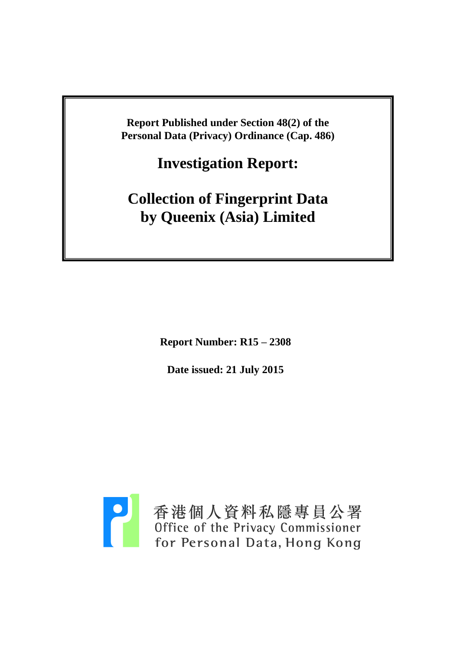**Report Published under Section 48(2) of the Personal Data (Privacy) Ordinance (Cap. 486)**

**Investigation Report:**

**Collection of Fingerprint Data by Queenix (Asia) Limited**

**Report Number: R15 – 2308**

**Date issued: 21 July 2015**

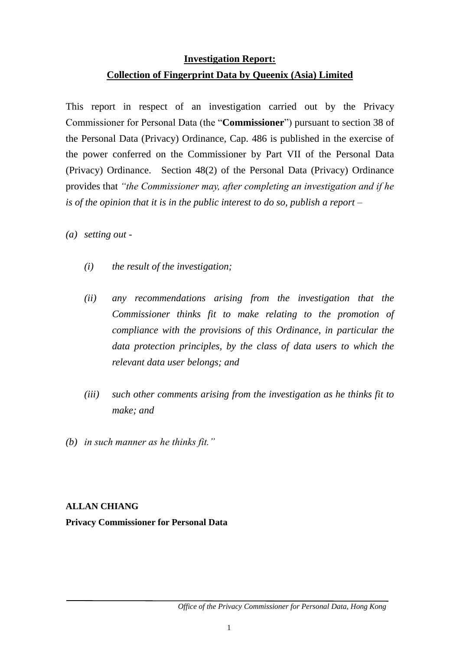# **Investigation Report: Collection of Fingerprint Data by Queenix (Asia) Limited**

This report in respect of an investigation carried out by the Privacy Commissioner for Personal Data (the "**Commissioner**") pursuant to section 38 of the Personal Data (Privacy) Ordinance, Cap. 486 is published in the exercise of the power conferred on the Commissioner by Part VII of the Personal Data (Privacy) Ordinance. Section 48(2) of the Personal Data (Privacy) Ordinance provides that *"the Commissioner may, after completing an investigation and if he is of the opinion that it is in the public interest to do so, publish a report –*

*(a) setting out -*

- *(i) the result of the investigation;*
- *(ii) any recommendations arising from the investigation that the Commissioner thinks fit to make relating to the promotion of compliance with the provisions of this Ordinance, in particular the data protection principles, by the class of data users to which the relevant data user belongs; and*
- *(iii) such other comments arising from the investigation as he thinks fit to make; and*
- *(b) in such manner as he thinks fit."*

#### **ALLAN CHIANG**

**Privacy Commissioner for Personal Data**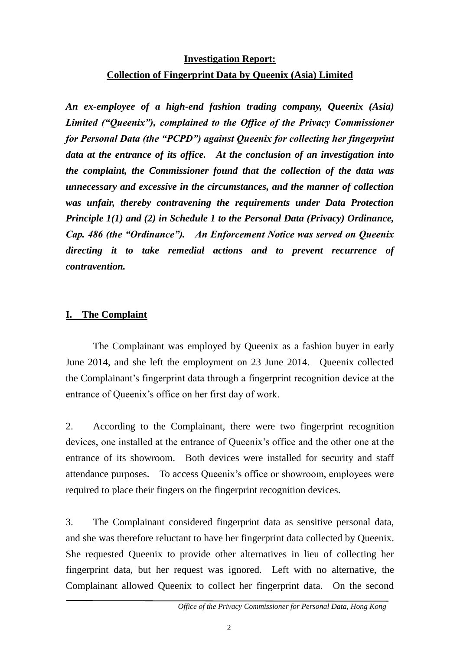# **Investigation Report: Collection of Fingerprint Data by Queenix (Asia) Limited**

*An ex-employee of a high-end fashion trading company, Queenix (Asia) Limited ("Queenix"), complained to the Office of the Privacy Commissioner for Personal Data (the "PCPD") against Queenix for collecting her fingerprint data at the entrance of its office. At the conclusion of an investigation into the complaint, the Commissioner found that the collection of the data was unnecessary and excessive in the circumstances, and the manner of collection was unfair, thereby contravening the requirements under Data Protection Principle 1(1) and (2) in Schedule 1 to the Personal Data (Privacy) Ordinance, Cap. 486 (the "Ordinance"). An Enforcement Notice was served on Queenix directing it to take remedial actions and to prevent recurrence of contravention.* 

#### **I. The Complaint**

The Complainant was employed by Queenix as a fashion buyer in early June 2014, and she left the employment on 23 June 2014. Queenix collected the Complainant's fingerprint data through a fingerprint recognition device at the entrance of Queenix's office on her first day of work.

2. According to the Complainant, there were two fingerprint recognition devices, one installed at the entrance of Queenix's office and the other one at the entrance of its showroom. Both devices were installed for security and staff attendance purposes. To access Queenix's office or showroom, employees were required to place their fingers on the fingerprint recognition devices.

3. The Complainant considered fingerprint data as sensitive personal data, and she was therefore reluctant to have her fingerprint data collected by Queenix. She requested Queenix to provide other alternatives in lieu of collecting her fingerprint data, but her request was ignored. Left with no alternative, the Complainant allowed Queenix to collect her fingerprint data. On the second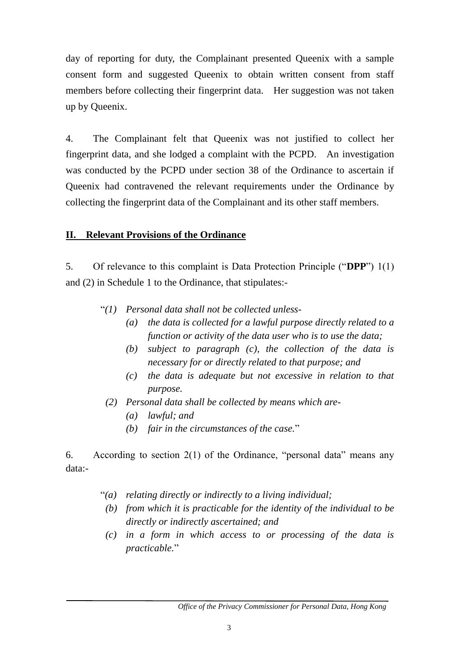day of reporting for duty, the Complainant presented Queenix with a sample consent form and suggested Queenix to obtain written consent from staff members before collecting their fingerprint data. Her suggestion was not taken up by Queenix.

4. The Complainant felt that Queenix was not justified to collect her fingerprint data, and she lodged a complaint with the PCPD. An investigation was conducted by the PCPD under section 38 of the Ordinance to ascertain if Queenix had contravened the relevant requirements under the Ordinance by collecting the fingerprint data of the Complainant and its other staff members.

# **II. Relevant Provisions of the Ordinance**

5. Of relevance to this complaint is Data Protection Principle ("**DPP**") 1(1) and (2) in Schedule 1 to the Ordinance, that stipulates:-

- "*(1) Personal data shall not be collected unless-*
	- *(a) the data is collected for a lawful purpose directly related to a function or activity of the data user who is to use the data;*
	- *(b) subject to paragraph (c), the collection of the data is necessary for or directly related to that purpose; and*
	- *(c) the data is adequate but not excessive in relation to that purpose.*
- *(2) Personal data shall be collected by means which are-*
	- *(a) lawful; and*
	- *(b) fair in the circumstances of the case.*"

6. According to section 2(1) of the Ordinance, "personal data" means any data:-

- "*(a) relating directly or indirectly to a living individual;*
- *(b) from which it is practicable for the identity of the individual to be directly or indirectly ascertained; and*
- *(c) in a form in which access to or processing of the data is practicable.*"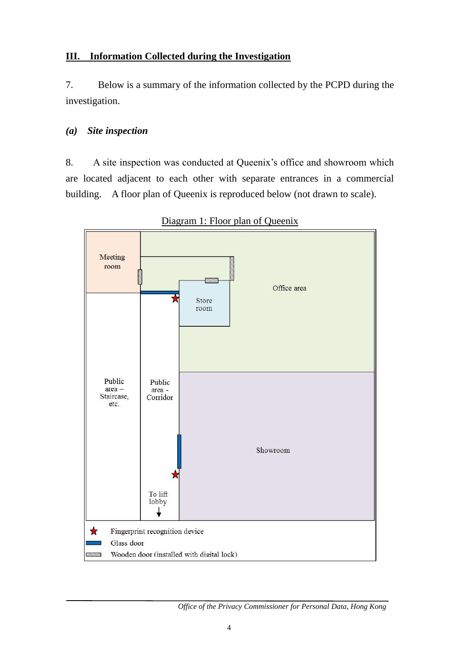# **III. Information Collected during the Investigation**

7. Below is a summary of the information collected by the PCPD during the investigation.

#### *(a) Site inspection*

8. A site inspection was conducted at Queenix's office and showroom which are located adjacent to each other with separate entrances in a commercial building. A floor plan of Queenix is reproduced below (not drawn to scale).



Diagram 1: Floor plan of Queenix

*Office of the Privacy Commissioner for Personal Data, Hong Kong*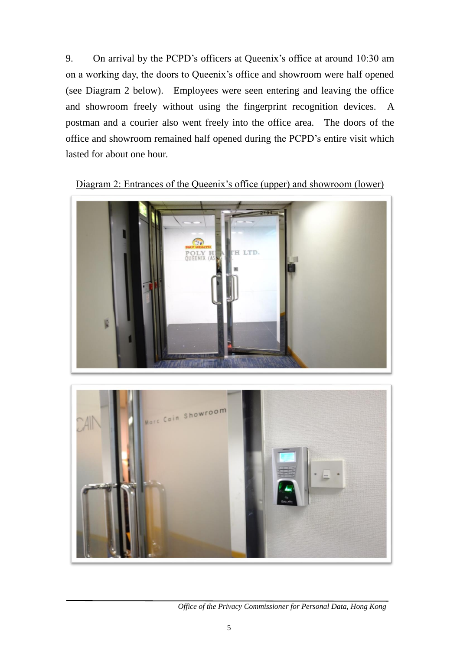9. On arrival by the PCPD's officers at Queenix's office at around 10:30 am on a working day, the doors to Queenix's office and showroom were half opened (see Diagram 2 below). Employees were seen entering and leaving the office and showroom freely without using the fingerprint recognition devices. A postman and a courier also went freely into the office area. The doors of the office and showroom remained half opened during the PCPD's entire visit which lasted for about one hour.



Diagram 2: Entrances of the Queenix's office (upper) and showroom (lower)



*Office of the Privacy Commissioner for Personal Data, Hong Kong*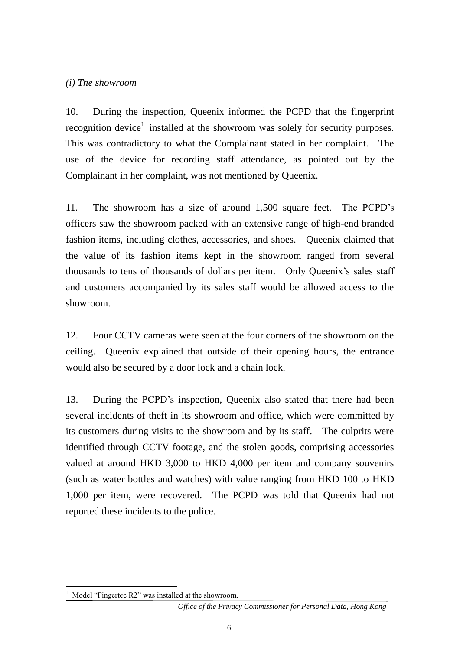#### *(i) The showroom*

10. During the inspection, Queenix informed the PCPD that the fingerprint recognition device<sup>1</sup> installed at the showroom was solely for security purposes. This was contradictory to what the Complainant stated in her complaint. The use of the device for recording staff attendance, as pointed out by the Complainant in her complaint, was not mentioned by Queenix.

11. The showroom has a size of around 1,500 square feet. The PCPD's officers saw the showroom packed with an extensive range of high-end branded fashion items, including clothes, accessories, and shoes. Queenix claimed that the value of its fashion items kept in the showroom ranged from several thousands to tens of thousands of dollars per item. Only Queenix's sales staff and customers accompanied by its sales staff would be allowed access to the showroom.

12. Four CCTV cameras were seen at the four corners of the showroom on the ceiling. Queenix explained that outside of their opening hours, the entrance would also be secured by a door lock and a chain lock.

13. During the PCPD's inspection, Queenix also stated that there had been several incidents of theft in its showroom and office, which were committed by its customers during visits to the showroom and by its staff. The culprits were identified through CCTV footage, and the stolen goods, comprising accessories valued at around HKD 3,000 to HKD 4,000 per item and company souvenirs (such as water bottles and watches) with value ranging from HKD 100 to HKD 1,000 per item, were recovered. The PCPD was told that Queenix had not reported these incidents to the police.

1

Model "Fingertec R2" was installed at the showroom.

*Office of the Privacy Commissioner for Personal Data, Hong Kong*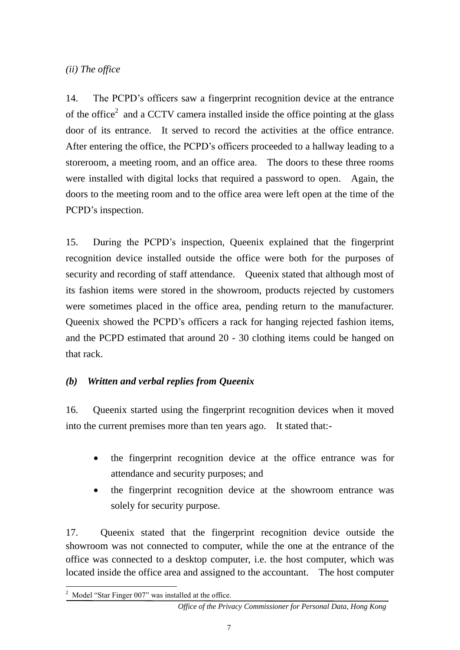# *(ii) The office*

14. The PCPD's officers saw a fingerprint recognition device at the entrance of the office<sup>2</sup> and a CCTV camera installed inside the office pointing at the glass door of its entrance. It served to record the activities at the office entrance. After entering the office, the PCPD's officers proceeded to a hallway leading to a storeroom, a meeting room, and an office area. The doors to these three rooms were installed with digital locks that required a password to open. Again, the doors to the meeting room and to the office area were left open at the time of the PCPD's inspection.

15. During the PCPD's inspection, Queenix explained that the fingerprint recognition device installed outside the office were both for the purposes of security and recording of staff attendance. Queenix stated that although most of its fashion items were stored in the showroom, products rejected by customers were sometimes placed in the office area, pending return to the manufacturer. Queenix showed the PCPD's officers a rack for hanging rejected fashion items, and the PCPD estimated that around 20 - 30 clothing items could be hanged on that rack.

# *(b) Written and verbal replies from Queenix*

16. Queenix started using the fingerprint recognition devices when it moved into the current premises more than ten years ago. It stated that:-

- the fingerprint recognition device at the office entrance was for attendance and security purposes; and
- the fingerprint recognition device at the showroom entrance was solely for security purpose.

17. Queenix stated that the fingerprint recognition device outside the showroom was not connected to computer, while the one at the entrance of the office was connected to a desktop computer, i.e. the host computer, which was located inside the office area and assigned to the accountant. The host computer

<sup>1</sup>  $2$  Model "Star Finger 007" was installed at the office.

*Office of the Privacy Commissioner for Personal Data, Hong Kong*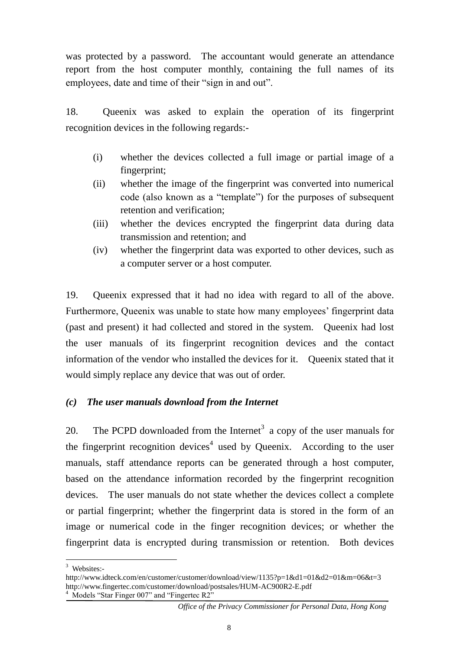was protected by a password. The accountant would generate an attendance report from the host computer monthly, containing the full names of its employees, date and time of their "sign in and out".

18. Queenix was asked to explain the operation of its fingerprint recognition devices in the following regards:-

- (i) whether the devices collected a full image or partial image of a fingerprint;
- (ii) whether the image of the fingerprint was converted into numerical code (also known as a "template") for the purposes of subsequent retention and verification;
- (iii) whether the devices encrypted the fingerprint data during data transmission and retention; and
- (iv) whether the fingerprint data was exported to other devices, such as a computer server or a host computer.

19. Queenix expressed that it had no idea with regard to all of the above. Furthermore, Queenix was unable to state how many employees' fingerprint data (past and present) it had collected and stored in the system. Queenix had lost the user manuals of its fingerprint recognition devices and the contact information of the vendor who installed the devices for it. Queenix stated that it would simply replace any device that was out of order.

# *(c) The user manuals download from the Internet*

20. The PCPD downloaded from the Internet<sup>3</sup> a copy of the user manuals for the fingerprint recognition devices<sup>4</sup> used by Queenix. According to the user manuals, staff attendance reports can be generated through a host computer, based on the attendance information recorded by the fingerprint recognition devices. The user manuals do not state whether the devices collect a complete or partial fingerprint; whether the fingerprint data is stored in the form of an image or numerical code in the finger recognition devices; or whether the fingerprint data is encrypted during transmission or retention. Both devices

1

<sup>4</sup> Models "Star Finger 007" and "Fingertec R2"

<sup>3</sup> Websites:-

<http://www.idteck.com/en/customer/customer/download/view/1135?p=1&d1=01&d2=01&m=06&t=3> <http://www.fingertec.com/customer/download/postsales/HUM-AC900R2-E.pdf>

*Office of the Privacy Commissioner for Personal Data, Hong Kong*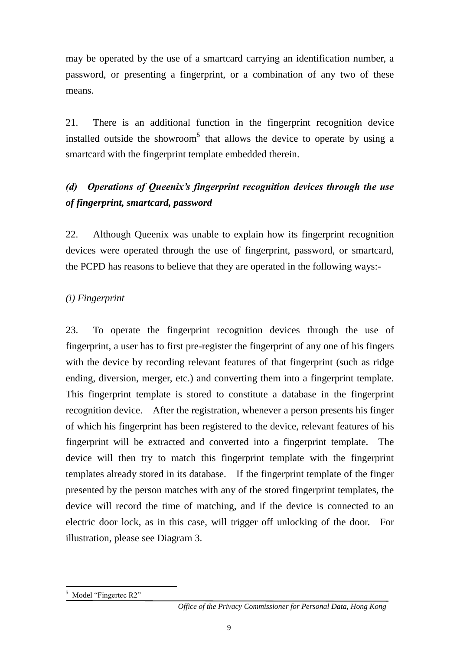may be operated by the use of a smartcard carrying an identification number, a password, or presenting a fingerprint, or a combination of any two of these means.

21. There is an additional function in the fingerprint recognition device installed outside the showroom<sup>5</sup> that allows the device to operate by using a smartcard with the fingerprint template embedded therein.

# *(d) Operations of Queenix's fingerprint recognition devices through the use of fingerprint, smartcard, password*

22. Although Queenix was unable to explain how its fingerprint recognition devices were operated through the use of fingerprint, password, or smartcard, the PCPD has reasons to believe that they are operated in the following ways:-

# *(i) Fingerprint*

23. To operate the fingerprint recognition devices through the use of fingerprint, a user has to first pre-register the fingerprint of any one of his fingers with the device by recording relevant features of that fingerprint (such as ridge ending, diversion, merger, etc.) and converting them into a fingerprint template. This fingerprint template is stored to constitute a database in the fingerprint recognition device. After the registration, whenever a person presents his finger of which his fingerprint has been registered to the device, relevant features of his fingerprint will be extracted and converted into a fingerprint template. The device will then try to match this fingerprint template with the fingerprint templates already stored in its database. If the fingerprint template of the finger presented by the person matches with any of the stored fingerprint templates, the device will record the time of matching, and if the device is connected to an electric door lock, as in this case, will trigger off unlocking of the door. For illustration, please see Diagram 3.

<sup>1</sup> Model "Fingertec R2"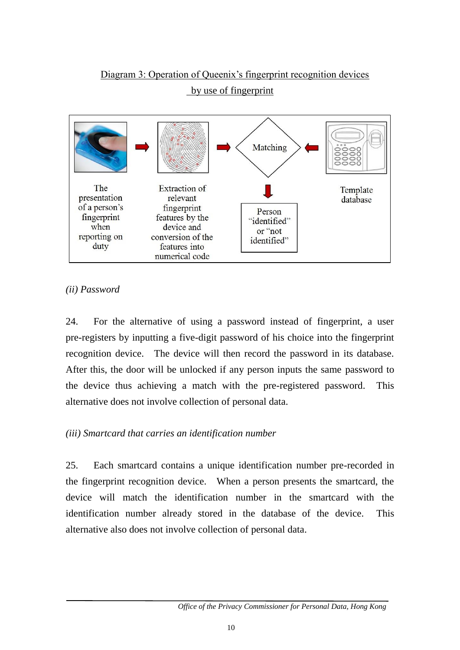

# Diagram 3: Operation of Queenix's fingerprint recognition devices

by use of fingerprint

# *(ii) Password*

24. For the alternative of using a password instead of fingerprint, a user pre-registers by inputting a five-digit password of his choice into the fingerprint recognition device. The device will then record the password in its database. After this, the door will be unlocked if any person inputs the same password to the device thus achieving a match with the pre-registered password. This alternative does not involve collection of personal data.

# *(iii) Smartcard that carries an identification number*

25. Each smartcard contains a unique identification number pre-recorded in the fingerprint recognition device. When a person presents the smartcard, the device will match the identification number in the smartcard with the identification number already stored in the database of the device. This alternative also does not involve collection of personal data.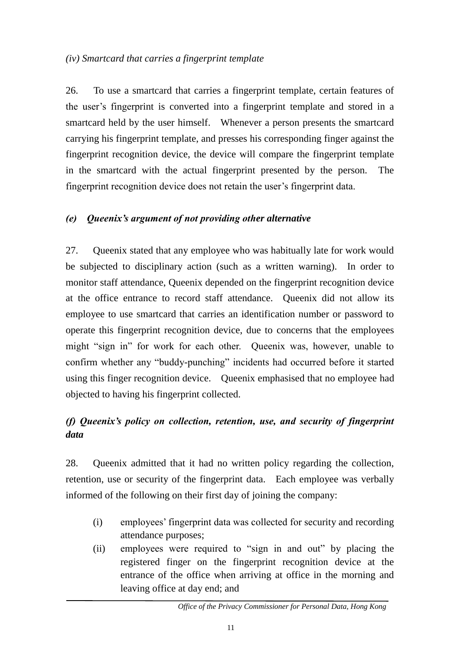26. To use a smartcard that carries a fingerprint template, certain features of the user's fingerprint is converted into a fingerprint template and stored in a smartcard held by the user himself. Whenever a person presents the smartcard carrying his fingerprint template, and presses his corresponding finger against the fingerprint recognition device, the device will compare the fingerprint template in the smartcard with the actual fingerprint presented by the person. The fingerprint recognition device does not retain the user's fingerprint data.

# *(e) Queenix's argument of not providing other alternative*

27. Queenix stated that any employee who was habitually late for work would be subjected to disciplinary action (such as a written warning). In order to monitor staff attendance, Queenix depended on the fingerprint recognition device at the office entrance to record staff attendance. Queenix did not allow its employee to use smartcard that carries an identification number or password to operate this fingerprint recognition device, due to concerns that the employees might "sign in" for work for each other. Queenix was, however, unable to confirm whether any "buddy-punching" incidents had occurred before it started using this finger recognition device. Queenix emphasised that no employee had objected to having his fingerprint collected.

# *(f) Queenix's policy on collection, retention, use, and security of fingerprint data*

28. Queenix admitted that it had no written policy regarding the collection, retention, use or security of the fingerprint data. Each employee was verbally informed of the following on their first day of joining the company:

- (i) employees' fingerprint data was collected for security and recording attendance purposes;
- (ii) employees were required to "sign in and out" by placing the registered finger on the fingerprint recognition device at the entrance of the office when arriving at office in the morning and leaving office at day end; and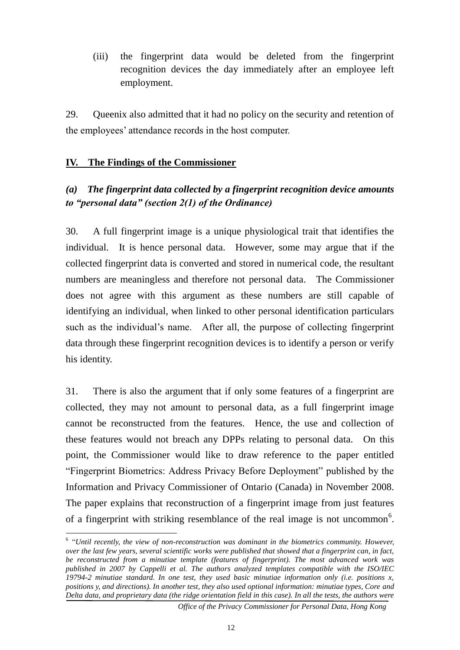(iii) the fingerprint data would be deleted from the fingerprint recognition devices the day immediately after an employee left employment.

29. Oueenix also admitted that it had no policy on the security and retention of the employees' attendance records in the host computer.

#### **IV. The Findings of the Commissioner**

1

# *(a) The fingerprint data collected by a fingerprint recognition device amounts to "personal data" (section 2(1) of the Ordinance)*

30. A full fingerprint image is a unique physiological trait that identifies the individual. It is hence personal data. However, some may argue that if the collected fingerprint data is converted and stored in numerical code, the resultant numbers are meaningless and therefore not personal data. The Commissioner does not agree with this argument as these numbers are still capable of identifying an individual, when linked to other personal identification particulars such as the individual's name. After all, the purpose of collecting fingerprint data through these fingerprint recognition devices is to identify a person or verify his identity.

31. There is also the argument that if only some features of a fingerprint are collected, they may not amount to personal data, as a full fingerprint image cannot be reconstructed from the features. Hence, the use and collection of these features would not breach any DPPs relating to personal data. On this point, the Commissioner would like to draw reference to the paper entitled "Fingerprint Biometrics: Address Privacy Before Deployment" published by the Information and Privacy Commissioner of Ontario (Canada) in November 2008. The paper explains that reconstruction of a fingerprint image from just features of a fingerprint with striking resemblance of the real image is not uncommon<sup>6</sup>.

<sup>&</sup>lt;sup>6</sup> "Until recently, the view of non-reconstruction was dominant in the biometrics community. However, *over the last few years, several scientific works were published that showed that a fingerprint can, in fact, be reconstructed from a minutiae template (features of fingerprint). The most advanced work was published in 2007 by Cappelli et al. The authors analyzed templates compatible with the ISO/IEC 19794-2 minutiae standard. In one test, they used basic minutiae information only (i.e. positions x, positions y, and directions). In another test, they also used optional information: minutiae types, Core and Delta data, and proprietary data (the ridge orientation field in this case). In all the tests, the authors were* 

*Office of the Privacy Commissioner for Personal Data, Hong Kong*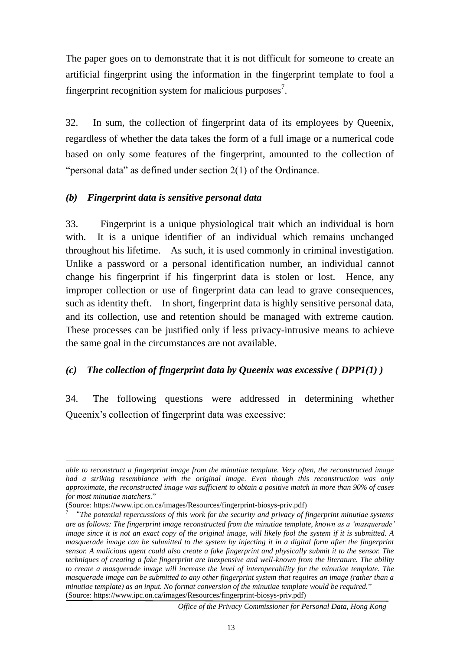The paper goes on to demonstrate that it is not difficult for someone to create an artificial fingerprint using the information in the fingerprint template to fool a fingerprint recognition system for malicious purposes<sup>7</sup>.

32. In sum, the collection of fingerprint data of its employees by Queenix, regardless of whether the data takes the form of a full image or a numerical code based on only some features of the fingerprint, amounted to the collection of "personal data" as defined under section 2(1) of the Ordinance.

#### *(b) Fingerprint data is sensitive personal data*

33. Fingerprint is a unique physiological trait which an individual is born with. It is a unique identifier of an individual which remains unchanged throughout his lifetime. As such, it is used commonly in criminal investigation. Unlike a password or a personal identification number, an individual cannot change his fingerprint if his fingerprint data is stolen or lost. Hence, any improper collection or use of fingerprint data can lead to grave consequences, such as identity theft. In short, fingerprint data is highly sensitive personal data, and its collection, use and retention should be managed with extreme caution. These processes can be justified only if less privacy-intrusive means to achieve the same goal in the circumstances are not available.

# *(c) The collection of fingerprint data by Queenix was excessive ( DPP1(1) )*

34. The following questions were addressed in determining whether Queenix's collection of fingerprint data was excessive:

1

*Office of the Privacy Commissioner for Personal Data, Hong Kong*

*able to reconstruct a fingerprint image from the minutiae template. Very often, the reconstructed image had a striking resemblance with the original image. Even though this reconstruction was only approximate, the reconstructed image was sufficient to obtain a positive match in more than 90% of cases for most minutiae matchers.*"

<sup>(</sup>Source: https://www.ipc.on.ca/images/Resources/fingerprint-biosys-priv.pdf)

<sup>7</sup> "*The potential repercussions of this work for the security and privacy of fingerprint minutiae systems are as follows: The fingerprint image reconstructed from the minutiae template, known as a 'masquerade' image since it is not an exact copy of the original image, will likely fool the system if it is submitted. A masquerade image can be submitted to the system by injecting it in a digital form after the fingerprint sensor. A malicious agent could also create a fake fingerprint and physically submit it to the sensor. The techniques of creating a fake fingerprint are inexpensive and well-known from the literature. The ability to create a masquerade image will increase the level of interoperability for the minutiae template. The masquerade image can be submitted to any other fingerprint system that requires an image (rather than a minutiae template) as an input. No format conversion of the minutiae template would be required.*" (Source: https://www.ipc.on.ca/images/Resources/fingerprint-biosys-priv.pdf)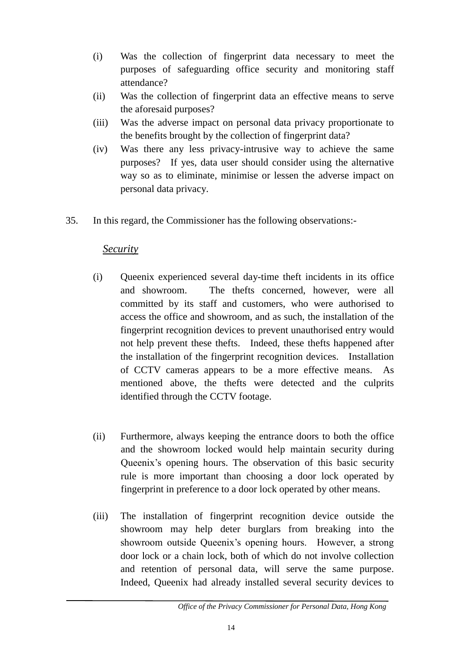- (i) Was the collection of fingerprint data necessary to meet the purposes of safeguarding office security and monitoring staff attendance?
- (ii) Was the collection of fingerprint data an effective means to serve the aforesaid purposes?
- (iii) Was the adverse impact on personal data privacy proportionate to the benefits brought by the collection of fingerprint data?
- (iv) Was there any less privacy-intrusive way to achieve the same purposes? If yes, data user should consider using the alternative way so as to eliminate, minimise or lessen the adverse impact on personal data privacy.
- 35. In this regard, the Commissioner has the following observations:-

#### *Security*

- (i) Queenix experienced several day-time theft incidents in its office and showroom. The thefts concerned, however, were all committed by its staff and customers, who were authorised to access the office and showroom, and as such, the installation of the fingerprint recognition devices to prevent unauthorised entry would not help prevent these thefts. Indeed, these thefts happened after the installation of the fingerprint recognition devices. Installation of CCTV cameras appears to be a more effective means. As mentioned above, the thefts were detected and the culprits identified through the CCTV footage.
- (ii) Furthermore, always keeping the entrance doors to both the office and the showroom locked would help maintain security during Queenix's opening hours. The observation of this basic security rule is more important than choosing a door lock operated by fingerprint in preference to a door lock operated by other means.
- (iii) The installation of fingerprint recognition device outside the showroom may help deter burglars from breaking into the showroom outside Queenix's opening hours. However, a strong door lock or a chain lock, both of which do not involve collection and retention of personal data, will serve the same purpose. Indeed, Queenix had already installed several security devices to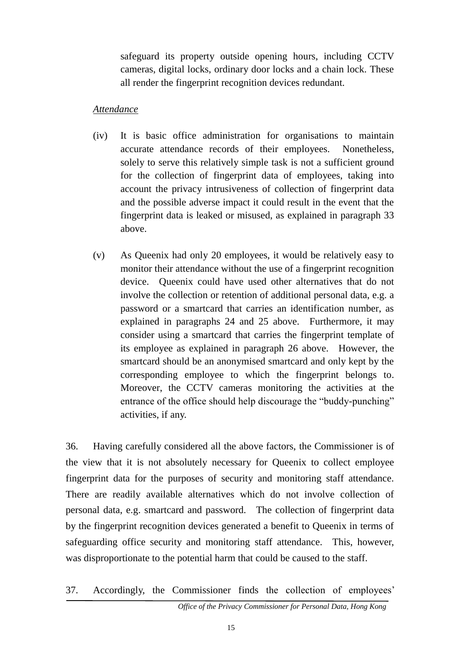safeguard its property outside opening hours, including CCTV cameras, digital locks, ordinary door locks and a chain lock. These all render the fingerprint recognition devices redundant.

#### *Attendance*

- (iv) It is basic office administration for organisations to maintain accurate attendance records of their employees. Nonetheless, solely to serve this relatively simple task is not a sufficient ground for the collection of fingerprint data of employees, taking into account the privacy intrusiveness of collection of fingerprint data and the possible adverse impact it could result in the event that the fingerprint data is leaked or misused, as explained in paragraph 33 above.
- (v) As Queenix had only 20 employees, it would be relatively easy to monitor their attendance without the use of a fingerprint recognition device. Queenix could have used other alternatives that do not involve the collection or retention of additional personal data, e.g. a password or a smartcard that carries an identification number, as explained in paragraphs 24 and 25 above. Furthermore, it may consider using a smartcard that carries the fingerprint template of its employee as explained in paragraph 26 above. However, the smartcard should be an anonymised smartcard and only kept by the corresponding employee to which the fingerprint belongs to. Moreover, the CCTV cameras monitoring the activities at the entrance of the office should help discourage the "buddy-punching" activities, if any.

36. Having carefully considered all the above factors, the Commissioner is of the view that it is not absolutely necessary for Queenix to collect employee fingerprint data for the purposes of security and monitoring staff attendance. There are readily available alternatives which do not involve collection of personal data, e.g. smartcard and password. The collection of fingerprint data by the fingerprint recognition devices generated a benefit to Queenix in terms of safeguarding office security and monitoring staff attendance. This, however, was disproportionate to the potential harm that could be caused to the staff.

37. Accordingly, the Commissioner finds the collection of employees'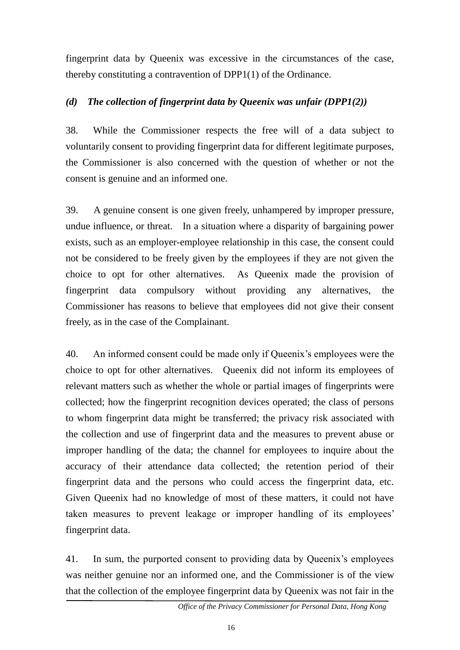fingerprint data by Queenix was excessive in the circumstances of the case, thereby constituting a contravention of DPP1(1) of the Ordinance.

# *(d) The collection of fingerprint data by Queenix was unfair (DPP1(2))*

38. While the Commissioner respects the free will of a data subject to voluntarily consent to providing fingerprint data for different legitimate purposes, the Commissioner is also concerned with the question of whether or not the consent is genuine and an informed one.

39. A genuine consent is one given freely, unhampered by improper pressure, undue influence, or threat. In a situation where a disparity of bargaining power exists, such as an employer-employee relationship in this case, the consent could not be considered to be freely given by the employees if they are not given the choice to opt for other alternatives. As Queenix made the provision of fingerprint data compulsory without providing any alternatives, the Commissioner has reasons to believe that employees did not give their consent freely, as in the case of the Complainant.

40. An informed consent could be made only if Queenix's employees were the choice to opt for other alternatives. Queenix did not inform its employees of relevant matters such as whether the whole or partial images of fingerprints were collected; how the fingerprint recognition devices operated; the class of persons to whom fingerprint data might be transferred; the privacy risk associated with the collection and use of fingerprint data and the measures to prevent abuse or improper handling of the data; the channel for employees to inquire about the accuracy of their attendance data collected; the retention period of their fingerprint data and the persons who could access the fingerprint data, etc. Given Queenix had no knowledge of most of these matters, it could not have taken measures to prevent leakage or improper handling of its employees' fingerprint data.

41. In sum, the purported consent to providing data by Queenix's employees was neither genuine nor an informed one, and the Commissioner is of the view that the collection of the employee fingerprint data by Queenix was not fair in the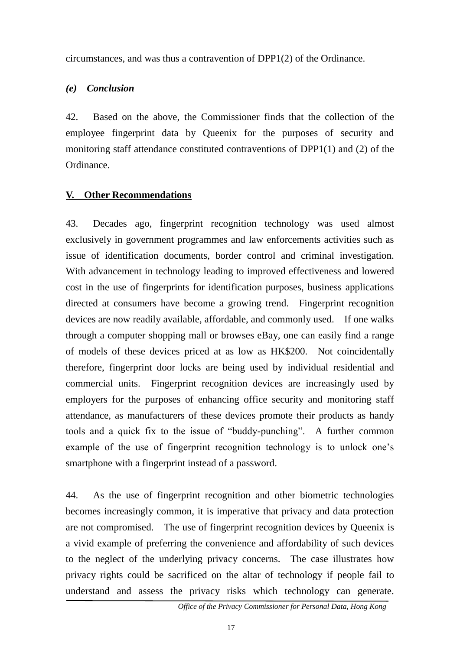circumstances, and was thus a contravention of DPP1(2) of the Ordinance.

#### *(e) Conclusion*

42. Based on the above, the Commissioner finds that the collection of the employee fingerprint data by Queenix for the purposes of security and monitoring staff attendance constituted contraventions of DPP1(1) and (2) of the Ordinance.

#### **V. Other Recommendations**

43. Decades ago, fingerprint recognition technology was used almost exclusively in government programmes and law enforcements activities such as issue of identification documents, border control and criminal investigation. With advancement in technology leading to improved effectiveness and lowered cost in the use of fingerprints for identification purposes, business applications directed at consumers have become a growing trend. Fingerprint recognition devices are now readily available, affordable, and commonly used. If one walks through a computer shopping mall or browses eBay, one can easily find a range of models of these devices priced at as low as HK\$200. Not coincidentally therefore, fingerprint door locks are being used by individual residential and commercial units. Fingerprint recognition devices are increasingly used by employers for the purposes of enhancing office security and monitoring staff attendance, as manufacturers of these devices promote their products as handy tools and a quick fix to the issue of "buddy-punching". A further common example of the use of fingerprint recognition technology is to unlock one's smartphone with a fingerprint instead of a password.

44. As the use of fingerprint recognition and other biometric technologies becomes increasingly common, it is imperative that privacy and data protection are not compromised. The use of fingerprint recognition devices by Queenix is a vivid example of preferring the convenience and affordability of such devices to the neglect of the underlying privacy concerns. The case illustrates how privacy rights could be sacrificed on the altar of technology if people fail to understand and assess the privacy risks which technology can generate.

*Office of the Privacy Commissioner for Personal Data, Hong Kong*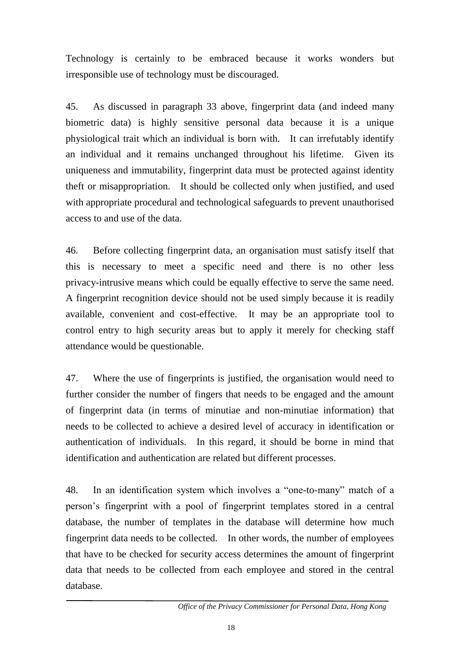Technology is certainly to be embraced because it works wonders but irresponsible use of technology must be discouraged.

45. As discussed in paragraph 33 above, fingerprint data (and indeed many biometric data) is highly sensitive personal data because it is a unique physiological trait which an individual is born with. It can irrefutably identify an individual and it remains unchanged throughout his lifetime. Given its uniqueness and immutability, fingerprint data must be protected against identity theft or misappropriation. It should be collected only when justified, and used with appropriate procedural and technological safeguards to prevent unauthorised access to and use of the data.

46. Before collecting fingerprint data, an organisation must satisfy itself that this is necessary to meet a specific need and there is no other less privacy-intrusive means which could be equally effective to serve the same need. A fingerprint recognition device should not be used simply because it is readily available, convenient and cost-effective. It may be an appropriate tool to control entry to high security areas but to apply it merely for checking staff attendance would be questionable.

47. Where the use of fingerprints is justified, the organisation would need to further consider the number of fingers that needs to be engaged and the amount of fingerprint data (in terms of minutiae and non-minutiae information) that needs to be collected to achieve a desired level of accuracy in identification or authentication of individuals. In this regard, it should be borne in mind that identification and authentication are related but different processes.

48. In an identification system which involves a "one-to-many" match of a person's fingerprint with a pool of fingerprint templates stored in a central database, the number of templates in the database will determine how much fingerprint data needs to be collected. In other words, the number of employees that have to be checked for security access determines the amount of fingerprint data that needs to be collected from each employee and stored in the central database.